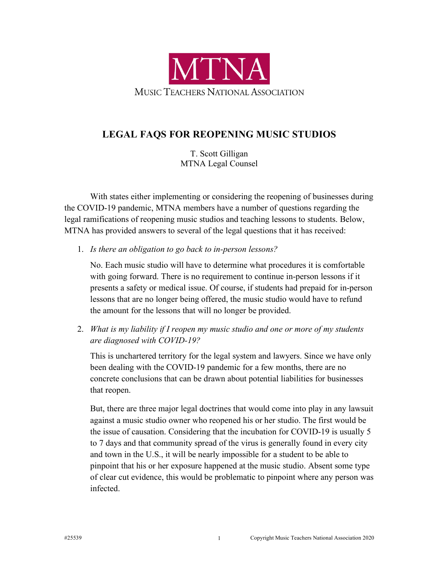

## **LEGAL FAQS FOR REOPENING MUSIC STUDIOS**

T. Scott Gilligan MTNA Legal Counsel

With states either implementing or considering the reopening of businesses during the COVID-19 pandemic, MTNA members have a number of questions regarding the legal ramifications of reopening music studios and teaching lessons to students. Below, MTNA has provided answers to several of the legal questions that it has received:

1. *Is there an obligation to go back to in-person lessons?*

No. Each music studio will have to determine what procedures it is comfortable with going forward. There is no requirement to continue in-person lessons if it presents a safety or medical issue. Of course, if students had prepaid for in-person lessons that are no longer being offered, the music studio would have to refund the amount for the lessons that will no longer be provided.

2. *What is my liability if I reopen my music studio and one or more of my students are diagnosed with COVID-19?*

This is unchartered territory for the legal system and lawyers. Since we have only been dealing with the COVID-19 pandemic for a few months, there are no concrete conclusions that can be drawn about potential liabilities for businesses that reopen.

But, there are three major legal doctrines that would come into play in any lawsuit against a music studio owner who reopened his or her studio. The first would be the issue of causation. Considering that the incubation for COVID-19 is usually 5 to 7 days and that community spread of the virus is generally found in every city and town in the U.S., it will be nearly impossible for a student to be able to pinpoint that his or her exposure happened at the music studio. Absent some type of clear cut evidence, this would be problematic to pinpoint where any person was infected.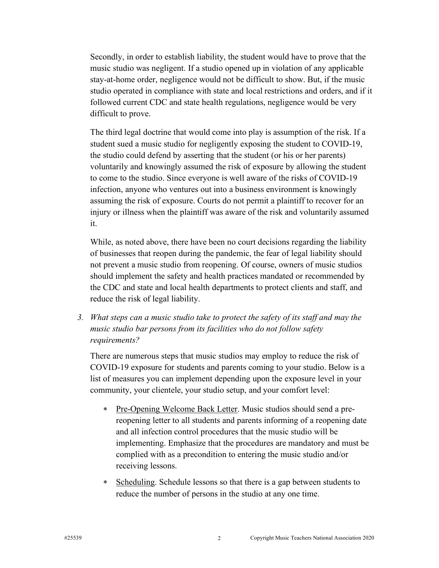Secondly, in order to establish liability, the student would have to prove that the music studio was negligent. If a studio opened up in violation of any applicable stay-at-home order, negligence would not be difficult to show. But, if the music studio operated in compliance with state and local restrictions and orders, and if it followed current CDC and state health regulations, negligence would be very difficult to prove.

The third legal doctrine that would come into play is assumption of the risk. If a student sued a music studio for negligently exposing the student to COVID-19, the studio could defend by asserting that the student (or his or her parents) voluntarily and knowingly assumed the risk of exposure by allowing the student to come to the studio. Since everyone is well aware of the risks of COVID-19 infection, anyone who ventures out into a business environment is knowingly assuming the risk of exposure. Courts do not permit a plaintiff to recover for an injury or illness when the plaintiff was aware of the risk and voluntarily assumed it.

While, as noted above, there have been no court decisions regarding the liability of businesses that reopen during the pandemic, the fear of legal liability should not prevent a music studio from reopening. Of course, owners of music studios should implement the safety and health practices mandated or recommended by the CDC and state and local health departments to protect clients and staff, and reduce the risk of legal liability.

*3. What steps can a music studio take to protect the safety of its staff and may the music studio bar persons from its facilities who do not follow safety requirements?*

There are numerous steps that music studios may employ to reduce the risk of COVID-19 exposure for students and parents coming to your studio. Below is a list of measures you can implement depending upon the exposure level in your community, your clientele, your studio setup, and your comfort level:

- \* Pre-Opening Welcome Back Letter. Music studios should send a prereopening letter to all students and parents informing of a reopening date and all infection control procedures that the music studio will be implementing. Emphasize that the procedures are mandatory and must be complied with as a precondition to entering the music studio and/or receiving lessons.
- \* Scheduling. Schedule lessons so that there is a gap between students to reduce the number of persons in the studio at any one time.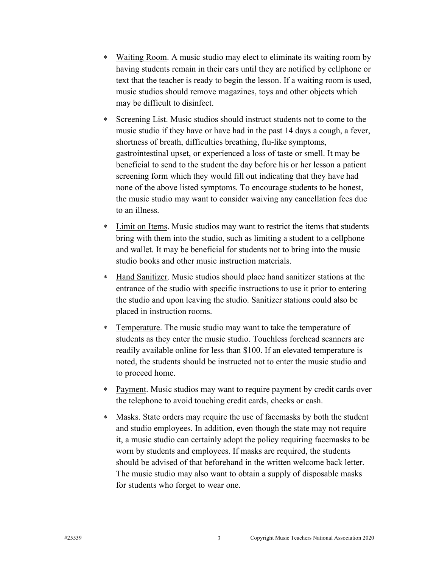- \* Waiting Room. A music studio may elect to eliminate its waiting room by having students remain in their cars until they are notified by cellphone or text that the teacher is ready to begin the lesson. If a waiting room is used, music studios should remove magazines, toys and other objects which may be difficult to disinfect.
- \* Screening List. Music studios should instruct students not to come to the music studio if they have or have had in the past 14 days a cough, a fever, shortness of breath, difficulties breathing, flu-like symptoms, gastrointestinal upset, or experienced a loss of taste or smell. It may be beneficial to send to the student the day before his or her lesson a patient screening form which they would fill out indicating that they have had none of the above listed symptoms. To encourage students to be honest, the music studio may want to consider waiving any cancellation fees due to an illness.
- \* Limit on Items. Music studios may want to restrict the items that students bring with them into the studio, such as limiting a student to a cellphone and wallet. It may be beneficial for students not to bring into the music studio books and other music instruction materials.
- \* Hand Sanitizer. Music studios should place hand sanitizer stations at the entrance of the studio with specific instructions to use it prior to entering the studio and upon leaving the studio. Sanitizer stations could also be placed in instruction rooms.
- \* Temperature. The music studio may want to take the temperature of students as they enter the music studio. Touchless forehead scanners are readily available online for less than \$100. If an elevated temperature is noted, the students should be instructed not to enter the music studio and to proceed home.
- \* Payment. Music studios may want to require payment by credit cards over the telephone to avoid touching credit cards, checks or cash.
- Masks. State orders may require the use of facemasks by both the student and studio employees. In addition, even though the state may not require it, a music studio can certainly adopt the policy requiring facemasks to be worn by students and employees. If masks are required, the students should be advised of that beforehand in the written welcome back letter. The music studio may also want to obtain a supply of disposable masks for students who forget to wear one.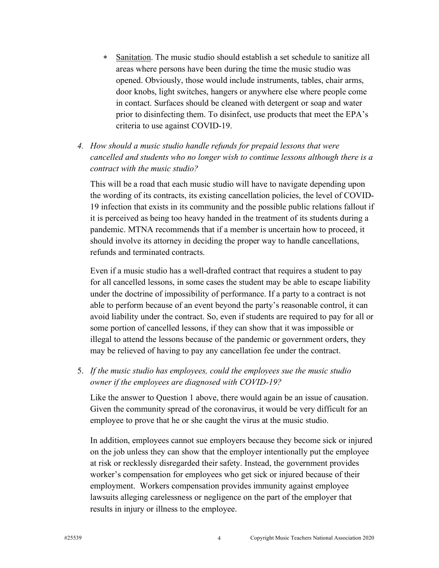- \* Sanitation. The music studio should establish a set schedule to sanitize all areas where persons have been during the time the music studio was opened. Obviously, those would include instruments, tables, chair arms, door knobs, light switches, hangers or anywhere else where people come in contact. Surfaces should be cleaned with detergent or soap and water prior to disinfecting them. To disinfect, use products that meet the EPA's criteria to use against COVID-19.
- *4. How should a music studio handle refunds for prepaid lessons that were cancelled and students who no longer wish to continue lessons although there is a contract with the music studio?*

This will be a road that each music studio will have to navigate depending upon the wording of its contracts, its existing cancellation policies, the level of COVID-19 infection that exists in its community and the possible public relations fallout if it is perceived as being too heavy handed in the treatment of its students during a pandemic. MTNA recommends that if a member is uncertain how to proceed, it should involve its attorney in deciding the proper way to handle cancellations, refunds and terminated contracts.

Even if a music studio has a well-drafted contract that requires a student to pay for all cancelled lessons, in some cases the student may be able to escape liability under the doctrine of impossibility of performance. If a party to a contract is not able to perform because of an event beyond the party's reasonable control, it can avoid liability under the contract. So, even if students are required to pay for all or some portion of cancelled lessons, if they can show that it was impossible or illegal to attend the lessons because of the pandemic or government orders, they may be relieved of having to pay any cancellation fee under the contract.

5. *If the music studio has employees, could the employees sue the music studio owner if the employees are diagnosed with COVID-19?*

Like the answer to Question 1 above, there would again be an issue of causation. Given the community spread of the coronavirus, it would be very difficult for an employee to prove that he or she caught the virus at the music studio.

In addition, employees cannot sue employers because they become sick or injured on the job unless they can show that the employer intentionally put the employee at risk or recklessly disregarded their safety. Instead, the government provides worker's compensation for employees who get sick or injured because of their employment. Workers compensation provides immunity against employee lawsuits alleging carelessness or negligence on the part of the employer that results in injury or illness to the employee.